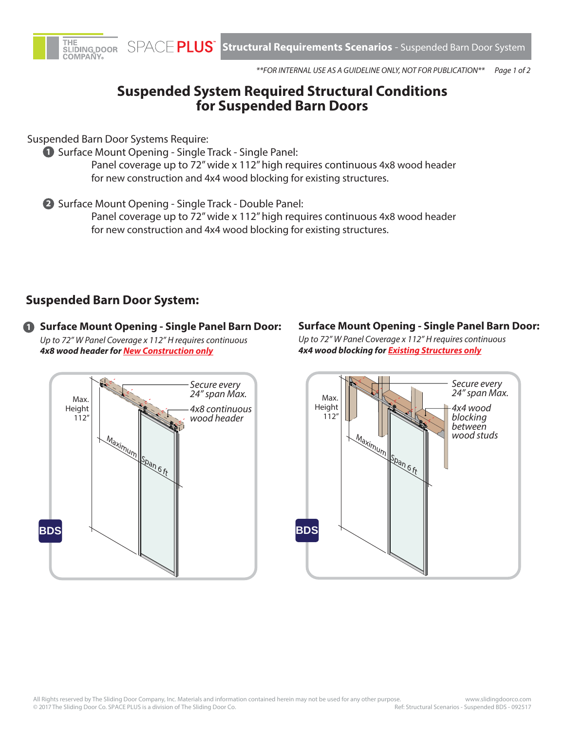



*Page 1 of 2 \*\*FOR INTERNAL USE AS A GUIDELINE ONLY, NOT FOR PUBLICATION\*\**

# **Suspended System Required Structural Conditions for Suspended Barn Doors**

Suspended Barn Door Systems Require:

**1** Surface Mount Opening - Single Track - Single Panel:

Panel coverage up to 72" wide x 112" high requires continuous 4x8 wood header for new construction and 4x4 wood blocking for existing structures.

2 Surface Mount Opening - Single Track - Double Panel:

Panel coverage up to 72" wide x 112" high requires continuous 4x8 wood header for new construction and 4x4 wood blocking for existing structures.

# **Suspended Barn Door System:**

**1 Surface Mount Opening - Single Panel Barn Door:**  *Up to 72" W Panel Coverage x 112" H requires continuous 4x8 wood header for New Construction only*

# *Secure every 24" span Max. 4x8 continuous wood header* **BDS** Max. Height 112" Maximum Span 6 ft

### **Surface Mount Opening - Single Panel Barn Door:**

*Up to 72" W Panel Coverage x 112" H requires continuous 4x4 wood blocking for Existing Structures only*